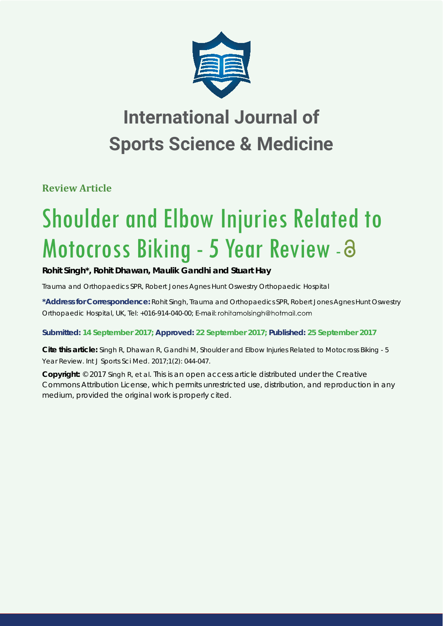

# **International Journal of Sports Science & Medicine**

**Review Article**

# Shoulder and Elbow Injuries Related to Motocross Biking - 5 Year Review - 3

# **Rohit Singh\*, Rohit Dhawan, Maulik Gandhi and Stuart Hay**

*Trauma and Orthopaedics SPR, Robert Jones Agnes Hunt Oswestry Orthopaedic Hospital*

**\*Address for Correspondence:** Rohit Singh, Trauma and Orthopaedics SPR, Robert Jones Agnes Hunt Oswestry Orthopaedic Hospital, UK, Tel: +016-914-040-00; E-mail: rohitamolsingh@hotmail.com

# **Submitted: 14 September 2017; Approved: 22 September 2017; Published: 25 September 2017**

**Cite this article:** Singh R, Dhawan R, Gandhi M, Shoulder and Elbow Injuries Related to Motocross Biking - 5 Year Review. Int J Sports Sci Med. 2017;1(2): 044-047.

**Copyright:** © 2017 Singh R, et al. This is an open access article distributed under the Creative Commons Attribution License, which permits unrestricted use, distribution, and reproduction in any medium, provided the original work is properly cited.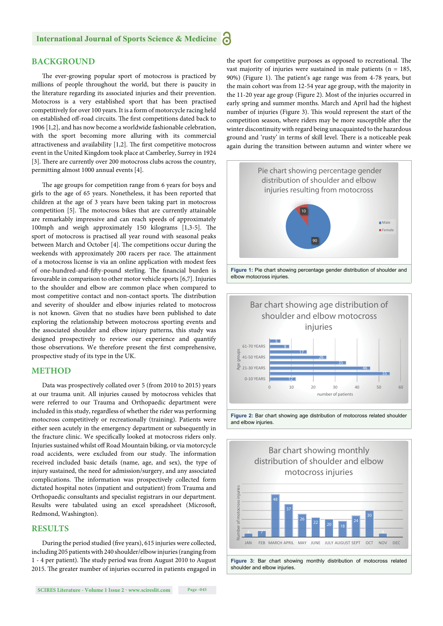#### **BACKGROUND**

The ever-growing popular sport of motocross is practiced by millions of people throughout the world, but there is paucity in the literature regarding its associated injuries and their prevention. Motocross is a very established sport that has been practised competitively for over 100 years. It is a form of motorcycle racing held on established off-road circuits. The first competitions dated back to 1906 [1,2], and has now become a worldwide fashionable celebration, with the sport becoming more alluring with its commercial attractiveness and availability  $[1,2]$ . The first competitive motocross event in the United Kingdom took place at Camberley, Surrey in 1924 [3]. There are currently over 200 motocross clubs across the country, permitting almost 1000 annual events [4].

The age groups for competition range from 6 years for boys and girls to the age of 65 years. Nonetheless, it has been reported that children at the age of 3 years have been taking part in motocross competition [5]. The motocross bikes that are currently attainable are remarkably impressive and can reach speeds of approximately 100mph and weigh approximately 150 kilograms  $[1,3-5]$ . The sport of motocross is practised all year round with seasonal peaks between March and October [4]. The competitions occur during the weekends with approximately 200 racers per race. The attainment of a motocross license is via an online application with modest fees of one-hundred-and-fifty-pound sterling. The financial burden is favourable in comparison to other motor vehicle sports [6,7]. Injuries to the shoulder and elbow are common place when compared to most competitive contact and non-contact sports. The distribution and severity of shoulder and elbow injuries related to motocross is not known. Given that no studies have been published to date exploring the relationship between motocross sporting events and the associated shoulder and elbow injury patterns, this study was designed prospectively to review our experience and quantify those observations. We therefore present the first comprehensive, prospective study of its type in the UK.

#### **METHOD**

Data was prospectively collated over 5 (from 2010 to 2015) years at our trauma unit. All injuries caused by motocross vehicles that were referred to our Trauma and Orthopaedic department were included in this study, regardless of whether the rider was performing motocross competitively or recreationally (training). Patients were either seen acutely in the emergency department or subsequently in the fracture clinic. We specifically looked at motocross riders only. Injuries sustained whilst off Road Mountain biking, or via motorcycle road accidents, were excluded from our study. The information received included basic details (name, age, and sex), the type of injury sustained, the need for admission/surgery, and any associated complications. The information was prospectively collected form dictated hospital notes (inpatient and outpatient) from Trauma and Orthopaedic consultants and specialist registrars in our department. Results were tabulated using an excel spreadsheet (Microsoft, Redmond, Washington).

#### **RESULTS**

During the period studied (five years), 615 injuries were collected, including 205 patients with 240 shoulder/elbow injuries (ranging from 1 - 4 per patient). The study period was from August 2010 to August 2015. The greater number of injuries occurred in patients engaged in

the sport for competitive purposes as opposed to recreational. The vast majority of injuries were sustained in male patients (n = 185, 90%) (Figure 1). The patient's age range was from 4-78 years, but the main cohort was from 12-54 year age group, with the majority in the 11-20 year age group (Figure 2). Most of the injuries occurred in early spring and summer months. March and April had the highest number of injuries (Figure 3). This would represent the start of the competition season, where riders may be more susceptible after the winter discontinuity with regard being unacquainted to the hazardous ground and 'rusty' in terms of skill level. There is a noticeable peak again during the transition between autumn and winter where we







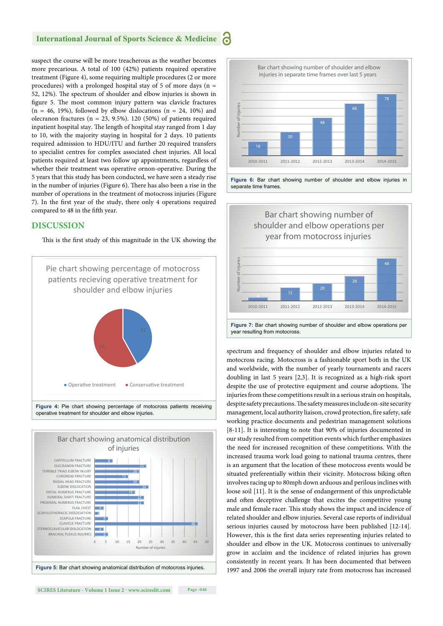### **International Journal of Sports Science & Medicine**

suspect the course will be more treacherous as the weather becomes more precarious. A total of 100 (42%) patients required operative treatment (Figure 4), some requiring multiple procedures (2 or more procedures) with a prolonged hospital stay of 5 of more days ( $n =$ 52, 12%). The spectrum of shoulder and elbow injuries is shown in figure 5. The most common injury pattern was clavicle fractures  $(n = 46, 19%)$ , followed by elbow dislocations  $(n = 24, 10%)$  and olecranon fractures ( $n = 23, 9.5\%$ ). 120 (50%) of patients required inpatient hospital stay. The length of hospital stay ranged from 1 day to 10, with the majority staying in hospital for 2 days. 10 patients required admission to HDU/ITU and further 20 required transfers to specialist centres for complex associated chest injuries. All local patients required at least two follow up appointments, regardless of whether their treatment was operative ornon-operative. During the 5 years that this study has been conducted, we have seen a steady rise in the number of injuries (Figure 6). There has also been a rise in the number of operations in the treatment of motocross injuries (Figure 7). In the first year of the study, there only 4 operations required compared to 48 in the fifth year.

#### **DISCUSSION**

This is the first study of this magnitude in the UK showing the

![](_page_2_Figure_4.jpeg)

![](_page_2_Figure_5.jpeg)

![](_page_2_Figure_6.jpeg)

![](_page_2_Figure_7.jpeg)

year resulting from motocross.

spectrum and frequency of shoulder and elbow injuries related to motocross racing. Motocross is a fashionable sport both in the UK and worldwide, with the number of yearly tournaments and racers doubling in last 5 years [2,3]. It is recognized as a high-risk sport despite the use of protective equipment and course adoptions. The injuries from these competitions result in a serious strain on hospitals, despite safety precautions. The safety measures include on-site security management, local authority liaison, crowd protection, fire safety, safe working practice documents and pedestrian management solutions [8-11]. It is interesting to note that 90% of injuries documented in our study resulted from competition events which further emphasizes the need for increased recognition of these competitions. With the increased trauma work load going to national trauma centres, there is an argument that the location of these motocross events would be situated preferentially within their vicinity. Motocross biking often involves racing up to 80mph down arduous and perilous inclines with loose soil [11]. It is the sense of endangerment of this unpredictable and often deceptive challenge that excites the competitive young male and female racer. This study shows the impact and incidence of related shoulder and elbow injuries. Several case reports of individual serious injuries caused by motocross have been published [12-14]. However, this is the first data series representing injuries related to shoulder and elbow in the UK. Motocross continues to universally grow in acclaim and the incidence of related injuries has grown consistently in recent years. It has been documented that between 1997 and 2006 the overall injury rate from motocross has increased